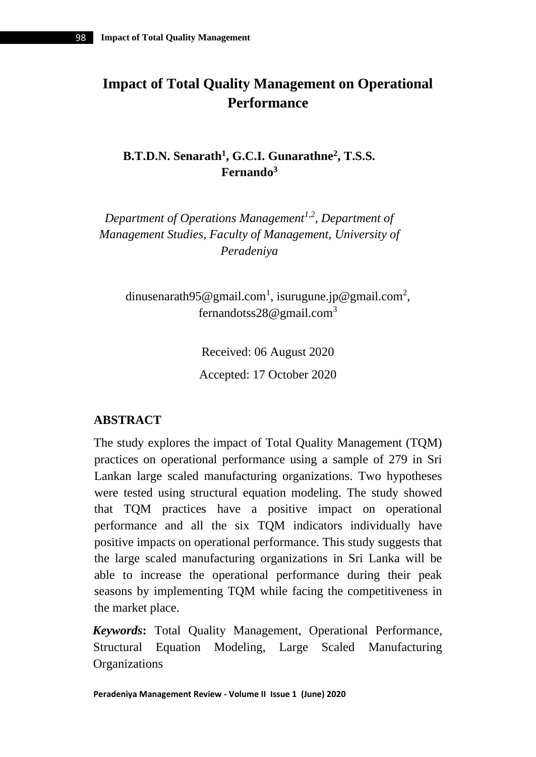# **Impact of Total Quality Management on Operational Performance**

**B.T.D.N. Senarath<sup>1</sup> , G.C.I. Gunarathne<sup>2</sup> , T.S.S. Fernando<sup>3</sup>**

*Department of Operations Management1,2, Department of Management Studies, Faculty of Management, University of Peradeniya*

[dinusenarath95@gmail.com](mailto:dinusenarath95@gmail.com1)<sup>1</sup>, [isurugune.jp@gmail.com](mailto:isurugune.jp@gmail.com2)<sup>2</sup>, fernandotss28@gmail.com<sup>3</sup>

> Received: 06 August 2020 Accepted: 17 October 2020

# **ABSTRACT**

The study explores the impact of Total Quality Management (TQM) practices on operational performance using a sample of 279 in Sri Lankan large scaled manufacturing organizations. Two hypotheses were tested using structural equation modeling. The study showed that TQM practices have a positive impact on operational performance and all the six TQM indicators individually have positive impacts on operational performance. This study suggests that the large scaled manufacturing organizations in Sri Lanka will be able to increase the operational performance during their peak seasons by implementing TQM while facing the competitiveness in the market place.

*Keywords***:** Total Quality Management, Operational Performance, Structural Equation Modeling, Large Scaled Manufacturing **Organizations**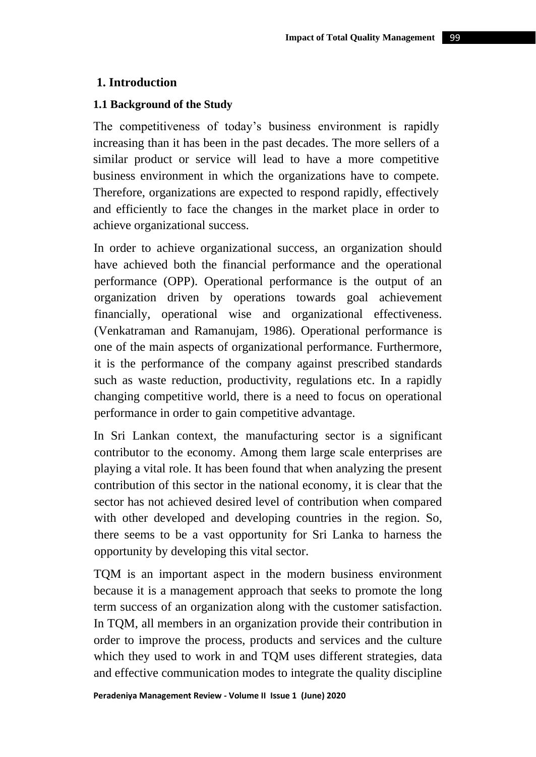### **1. Introduction**

#### **1.1 Background of the Study**

The competitiveness of today's business environment is rapidly increasing than it has been in the past decades. The more sellers of a similar product or service will lead to have a more competitive business environment in which the organizations have to compete. Therefore, organizations are expected to respond rapidly, effectively and efficiently to face the changes in the market place in order to achieve organizational success.

In order to achieve organizational success, an organization should have achieved both the financial performance and the operational performance (OPP). Operational performance is the output of an organization driven by operations towards goal achievement financially, operational wise and organizational effectiveness. (Venkatraman and Ramanujam, 1986). Operational performance is one of the main aspects of organizational performance. Furthermore, it is the performance of the company against prescribed standards such as waste reduction, productivity, regulations etc. In a rapidly changing competitive world, there is a need to focus on operational performance in order to gain competitive advantage.

In Sri Lankan context, the manufacturing sector is a significant contributor to the economy. Among them large scale enterprises are playing a vital role. It has been found that when analyzing the present contribution of this sector in the national economy, it is clear that the sector has not achieved desired level of contribution when compared with other developed and developing countries in the region. So, there seems to be a vast opportunity for Sri Lanka to harness the opportunity by developing this vital sector.

TQM is an important aspect in the modern business environment because it is a management approach that seeks to promote the long term success of an organization along with the customer satisfaction. In TQM, all members in an organization provide their contribution in order to improve the process, products and services and the culture which they used to work in and TQM uses different strategies, data and effective communication modes to integrate the quality discipline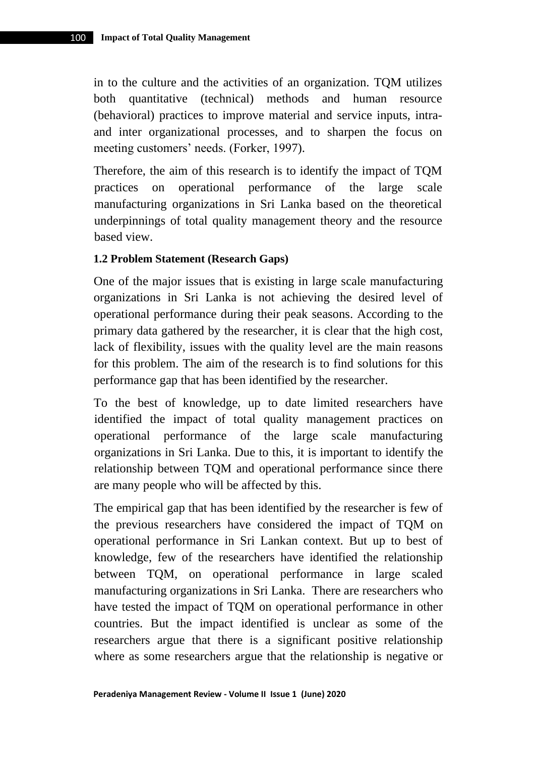in to the culture and the activities of an organization. TQM utilizes both quantitative (technical) methods and human resource (behavioral) practices to improve material and service inputs, intraand inter organizational processes, and to sharpen the focus on meeting customers' needs. (Forker, 1997).

Therefore, the aim of this research is to identify the impact of TQM practices on operational performance of the large scale manufacturing organizations in Sri Lanka based on the theoretical underpinnings of total quality management theory and the resource based view.

#### **1.2 Problem Statement (Research Gaps)**

One of the major issues that is existing in large scale manufacturing organizations in Sri Lanka is not achieving the desired level of operational performance during their peak seasons. According to the primary data gathered by the researcher, it is clear that the high cost, lack of flexibility, issues with the quality level are the main reasons for this problem. The aim of the research is to find solutions for this performance gap that has been identified by the researcher.

To the best of knowledge, up to date limited researchers have identified the impact of total quality management practices on operational performance of the large scale manufacturing organizations in Sri Lanka. Due to this, it is important to identify the relationship between TQM and operational performance since there are many people who will be affected by this.

The empirical gap that has been identified by the researcher is few of the previous researchers have considered the impact of TQM on operational performance in Sri Lankan context. But up to best of knowledge, few of the researchers have identified the relationship between TQM, on operational performance in large scaled manufacturing organizations in Sri Lanka. There are researchers who have tested the impact of TQM on operational performance in other countries. But the impact identified is unclear as some of the researchers argue that there is a significant positive relationship where as some researchers argue that the relationship is negative or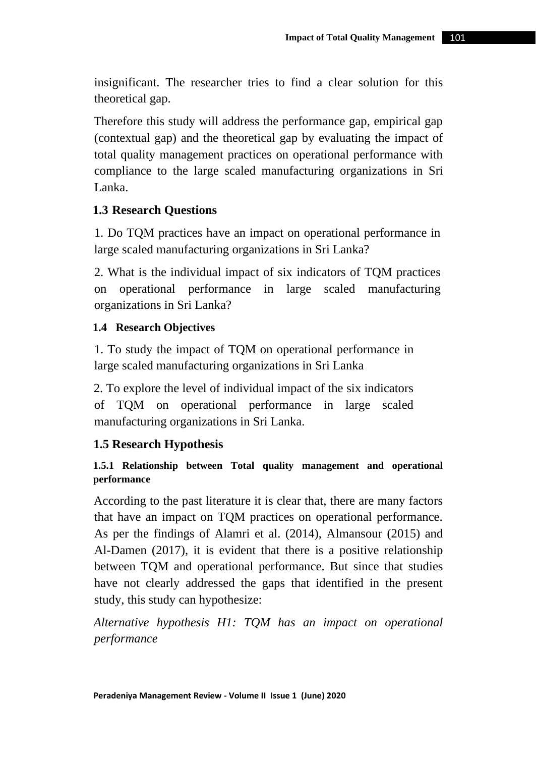insignificant. The researcher tries to find a clear solution for this theoretical gap.

Therefore this study will address the performance gap, empirical gap (contextual gap) and the theoretical gap by evaluating the impact of total quality management practices on operational performance with compliance to the large scaled manufacturing organizations in Sri Lanka.

## **1.3 Research Questions**

1. Do TQM practices have an impact on operational performance in large scaled manufacturing organizations in Sri Lanka?

2. What is the individual impact of six indicators of TQM practices on operational performance in large scaled manufacturing organizations in Sri Lanka?

### **1.4 Research Objectives**

1. To study the impact of TQM on operational performance in large scaled manufacturing organizations in Sri Lanka

2. To explore the level of individual impact of the six indicators of TQM on operational performance in large scaled manufacturing organizations in Sri Lanka.

### **1.5 Research Hypothesis**

## **1.5.1 Relationship between Total quality management and operational performance**

According to the past literature it is clear that, there are many factors that have an impact on TQM practices on operational performance. As per the findings of Alamri et al. (2014), Almansour (2015) and Al-Damen (2017), it is evident that there is a positive relationship between TQM and operational performance. But since that studies have not clearly addressed the gaps that identified in the present study, this study can hypothesize:

*Alternative hypothesis H1: TQM has an impact on operational performance*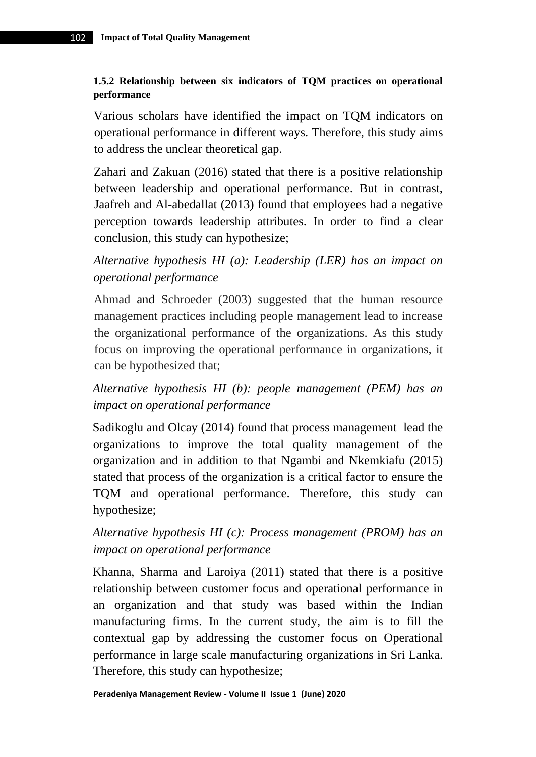### **1.5.2 Relationship between six indicators of TQM practices on operational performance**

Various scholars have identified the impact on TQM indicators on operational performance in different ways. Therefore, this study aims to address the unclear theoretical gap.

Zahari and Zakuan (2016) stated that there is a positive relationship between leadership and operational performance. But in contrast, Jaafreh and Al-abedallat (2013) found that employees had a negative perception towards leadership attributes. In order to find a clear conclusion, this study can hypothesize;

*Alternative hypothesis HI (a): Leadership (LER) has an impact on operational performance* 

Ahmad and Schroeder (2003) suggested that the human resource management practices including people management lead to increase the organizational performance of the organizations. As this study focus on improving the operational performance in organizations, it can be hypothesized that;

*Alternative hypothesis HI (b): people management (PEM) has an impact on operational performance* 

Sadikoglu and Olcay (2014) found that process management lead the organizations to improve the total quality management of the organization and in addition to that Ngambi and Nkemkiafu (2015) stated that process of the organization is a critical factor to ensure the TQM and operational performance. Therefore, this study can hypothesize;

*Alternative hypothesis HI (c): Process management (PROM) has an impact on operational performance* 

Khanna, Sharma and Laroiya (2011) stated that there is a positive relationship between customer focus and operational performance in an organization and that study was based within the Indian manufacturing firms. In the current study, the aim is to fill the contextual gap by addressing the customer focus on Operational performance in large scale manufacturing organizations in Sri Lanka. Therefore, this study can hypothesize;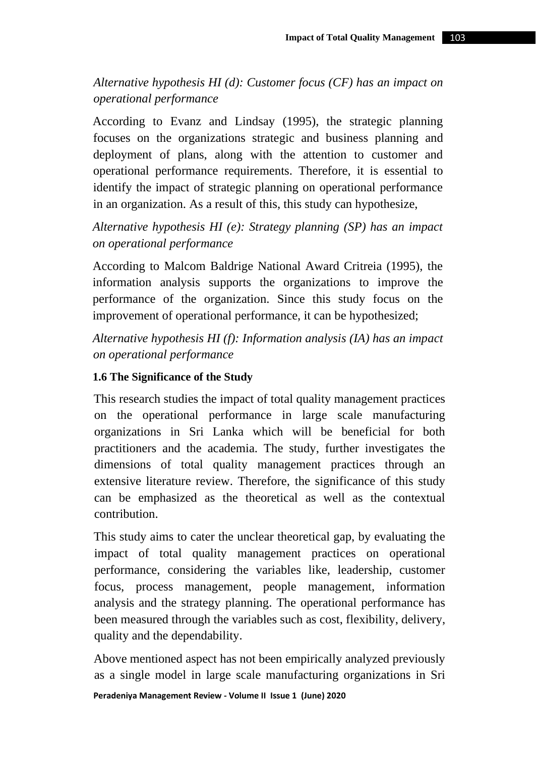*Alternative hypothesis HI (d): Customer focus (CF) has an impact on operational performance*

According to Evanz and Lindsay (1995), the strategic planning focuses on the organizations strategic and business planning and deployment of plans, along with the attention to customer and operational performance requirements. Therefore, it is essential to identify the impact of strategic planning on operational performance in an organization. As a result of this, this study can hypothesize,

*Alternative hypothesis HI (e): Strategy planning (SP) has an impact on operational performance* 

According to Malcom Baldrige National Award Critreia (1995), the information analysis supports the organizations to improve the performance of the organization. Since this study focus on the improvement of operational performance, it can be hypothesized;

*Alternative hypothesis HI (f): Information analysis (IA) has an impact on operational performance* 

### **1.6 The Significance of the Study**

This research studies the impact of total quality management practices on the operational performance in large scale manufacturing organizations in Sri Lanka which will be beneficial for both practitioners and the academia. The study, further investigates the dimensions of total quality management practices through an extensive literature review. Therefore, the significance of this study can be emphasized as the theoretical as well as the contextual contribution.

This study aims to cater the unclear theoretical gap, by evaluating the impact of total quality management practices on operational performance, considering the variables like, leadership, customer focus, process management, people management, information analysis and the strategy planning. The operational performance has been measured through the variables such as cost, flexibility, delivery, quality and the dependability.

Above mentioned aspect has not been empirically analyzed previously as a single model in large scale manufacturing organizations in Sri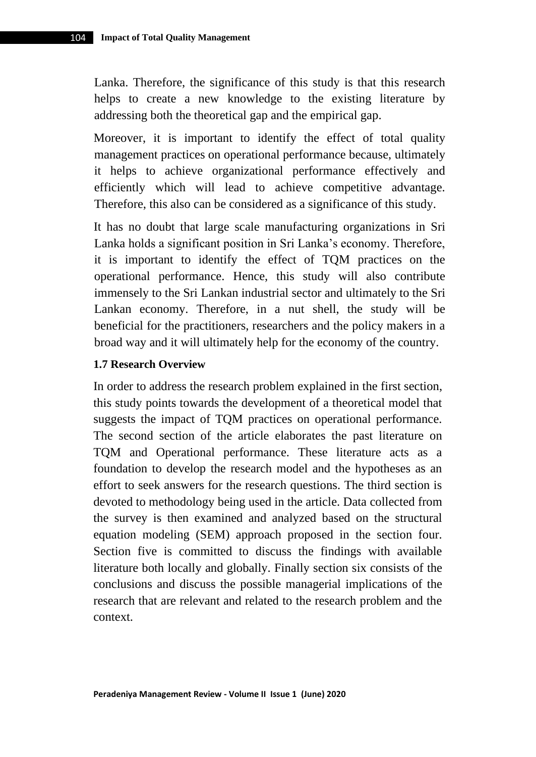Lanka. Therefore, the significance of this study is that this research helps to create a new knowledge to the existing literature by addressing both the theoretical gap and the empirical gap.

Moreover, it is important to identify the effect of total quality management practices on operational performance because, ultimately it helps to achieve organizational performance effectively and efficiently which will lead to achieve competitive advantage. Therefore, this also can be considered as a significance of this study.

It has no doubt that large scale manufacturing organizations in Sri Lanka holds a significant position in Sri Lanka's economy. Therefore, it is important to identify the effect of TQM practices on the operational performance. Hence, this study will also contribute immensely to the Sri Lankan industrial sector and ultimately to the Sri Lankan economy. Therefore, in a nut shell, the study will be beneficial for the practitioners, researchers and the policy makers in a broad way and it will ultimately help for the economy of the country.

#### **1.7 Research Overview**

In order to address the research problem explained in the first section, this study points towards the development of a theoretical model that suggests the impact of TQM practices on operational performance. The second section of the article elaborates the past literature on TQM and Operational performance. These literature acts as a foundation to develop the research model and the hypotheses as an effort to seek answers for the research questions. The third section is devoted to methodology being used in the article. Data collected from the survey is then examined and analyzed based on the structural equation modeling (SEM) approach proposed in the section four. Section five is committed to discuss the findings with available literature both locally and globally. Finally section six consists of the conclusions and discuss the possible managerial implications of the research that are relevant and related to the research problem and the context.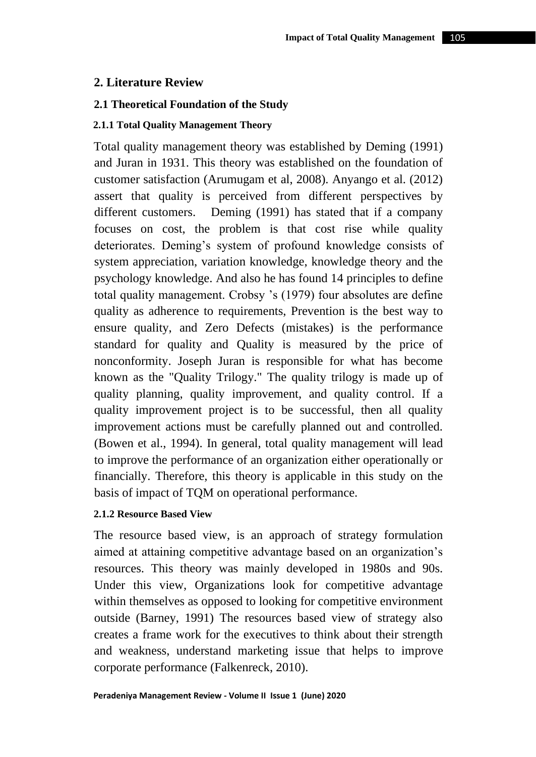### **2. Literature Review**

### **2.1 Theoretical Foundation of the Study**

#### **2.1.1 Total Quality Management Theory**

Total quality management theory was established by Deming (1991) and Juran in 1931. This theory was established on the foundation of customer satisfaction (Arumugam et al, 2008). Anyango et al. (2012) assert that quality is perceived from different perspectives by different customers. Deming (1991) has stated that if a company focuses on cost, the problem is that cost rise while quality deteriorates. Deming's system of profound knowledge consists of system appreciation, variation knowledge, knowledge theory and the psychology knowledge. And also he has found 14 principles to define total quality management. Crobsy 's (1979) four absolutes are define quality as adherence to requirements, Prevention is the best way to ensure quality, and Zero Defects (mistakes) is the performance standard for quality and Quality is measured by the price of nonconformity. Joseph Juran is responsible for what has become known as the "Quality Trilogy." The quality trilogy is made up of quality planning, quality improvement, and quality control. If a quality improvement project is to be successful, then all quality improvement actions must be carefully planned out and controlled. (Bowen et al., 1994). In general, total quality management will lead to improve the performance of an organization either operationally or financially. Therefore, this theory is applicable in this study on the basis of impact of TQM on operational performance.

#### **2.1.2 Resource Based View**

The resource based view, is an approach of strategy formulation aimed at attaining competitive advantage based on an organization's resources. This theory was mainly developed in 1980s and 90s. Under this view, Organizations look for competitive advantage within themselves as opposed to looking for competitive environment outside (Barney, 1991) The resources based view of strategy also creates a frame work for the executives to think about their strength and weakness, understand marketing issue that helps to improve corporate performance (Falkenreck, 2010).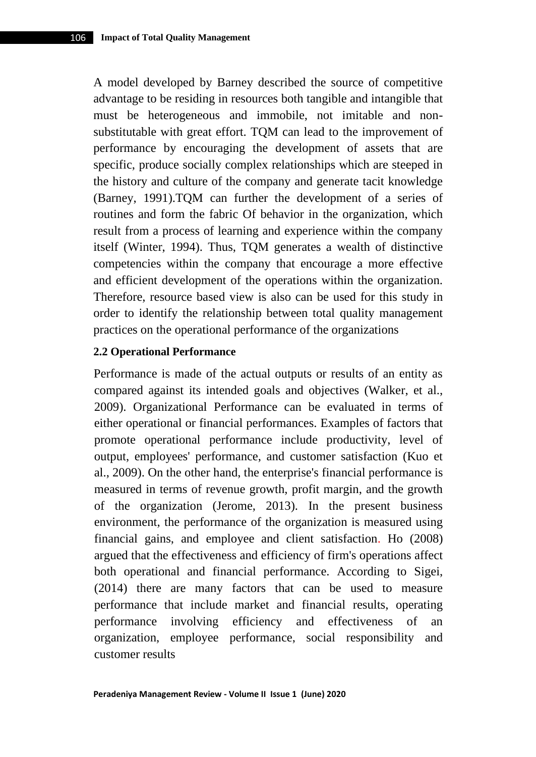A model developed by Barney described the source of competitive advantage to be residing in resources both tangible and intangible that must be heterogeneous and immobile, not imitable and nonsubstitutable with great effort. TQM can lead to the improvement of performance by encouraging the development of assets that are specific, produce socially complex relationships which are steeped in the history and culture of the company and generate tacit knowledge (Barney, 1991).TQM can further the development of a series of routines and form the fabric Of behavior in the organization, which result from a process of learning and experience within the company itself (Winter, 1994). Thus, TQM generates a wealth of distinctive competencies within the company that encourage a more effective and efficient development of the operations within the organization. Therefore, resource based view is also can be used for this study in order to identify the relationship between total quality management practices on the operational performance of the organizations

### **2.2 Operational Performance**

Performance is made of the actual outputs or results of an entity as compared against its intended goals and objectives (Walker, et al., 2009). Organizational Performance can be evaluated in terms of either operational or financial performances. Examples of factors that promote operational performance include productivity, level of output, employees' performance, and customer satisfaction (Kuo et al., 2009). On the other hand, the enterprise's financial performance is measured in terms of revenue growth, profit margin, and the growth of the organization (Jerome, 2013). In the present business environment, the performance of the organization is measured using financial gains, and employee and client satisfaction. Ho (2008) argued that the effectiveness and efficiency of firm's operations affect both operational and financial performance. According to Sigei, (2014) there are many factors that can be used to measure performance that include market and financial results, operating performance involving efficiency and effectiveness of an organization, employee performance, social responsibility and customer results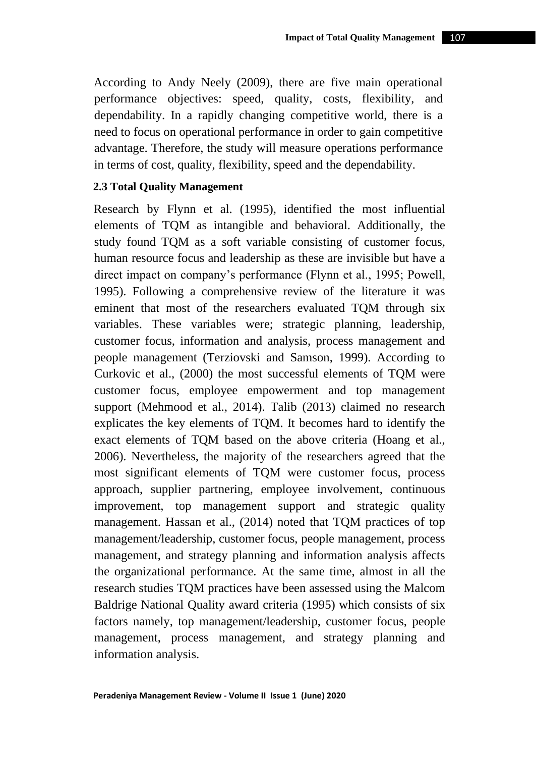According to Andy Neely (2009), there are five main operational performance objectives: speed, quality, costs, flexibility, and dependability. In a rapidly changing competitive world, there is a need to focus on operational performance in order to gain competitive advantage. Therefore, the study will measure operations performance in terms of cost, quality, flexibility, speed and the dependability.

#### **2.3 Total Quality Management**

Research by Flynn et al. (1995), identified the most influential elements of TQM as intangible and behavioral. Additionally, the study found TQM as a soft variable consisting of customer focus, human resource focus and leadership as these are invisible but have a direct impact on company's performance (Flynn et al., 1995; Powell, 1995). Following a comprehensive review of the literature it was eminent that most of the researchers evaluated TQM through six variables. These variables were; strategic planning, leadership, customer focus, information and analysis, process management and people management (Terziovski and Samson, 1999). According to Curkovic et al., (2000) the most successful elements of TQM were customer focus, employee empowerment and top management support (Mehmood et al., 2014). Talib (2013) claimed no research explicates the key elements of TQM. It becomes hard to identify the exact elements of TQM based on the above criteria (Hoang et al., 2006). Nevertheless, the majority of the researchers agreed that the most significant elements of TQM were customer focus, process approach, supplier partnering, employee involvement, continuous improvement, top management support and strategic quality management. Hassan et al., (2014) noted that TQM practices of top management/leadership, customer focus, people management, process management, and strategy planning and information analysis affects the organizational performance. At the same time, almost in all the research studies TQM practices have been assessed using the Malcom Baldrige National Quality award criteria (1995) which consists of six factors namely, top management/leadership, customer focus, people management, process management, and strategy planning and information analysis.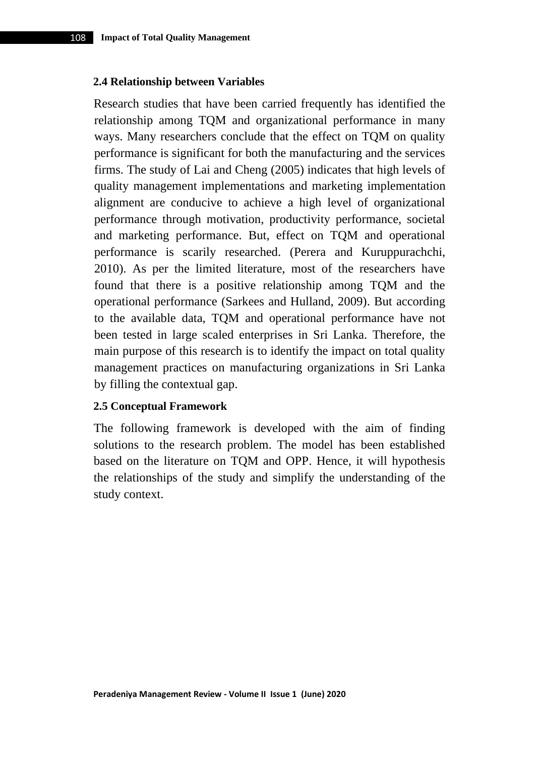#### **2.4 Relationship between Variables**

Research studies that have been carried frequently has identified the relationship among TQM and organizational performance in many ways. Many researchers conclude that the effect on TQM on quality performance is significant for both the manufacturing and the services firms. The study of Lai and Cheng (2005) indicates that high levels of quality management implementations and marketing implementation alignment are conducive to achieve a high level of organizational performance through motivation, productivity performance, societal and marketing performance. But, effect on TQM and operational performance is scarily researched. (Perera and Kuruppurachchi, 2010). As per the limited literature, most of the researchers have found that there is a positive relationship among TQM and the operational performance (Sarkees and Hulland, 2009). But according to the available data, TQM and operational performance have not been tested in large scaled enterprises in Sri Lanka. Therefore, the main purpose of this research is to identify the impact on total quality management practices on manufacturing organizations in Sri Lanka by filling the contextual gap.

#### **2.5 Conceptual Framework**

The following framework is developed with the aim of finding solutions to the research problem. The model has been established based on the literature on TQM and OPP. Hence, it will hypothesis the relationships of the study and simplify the understanding of the study context.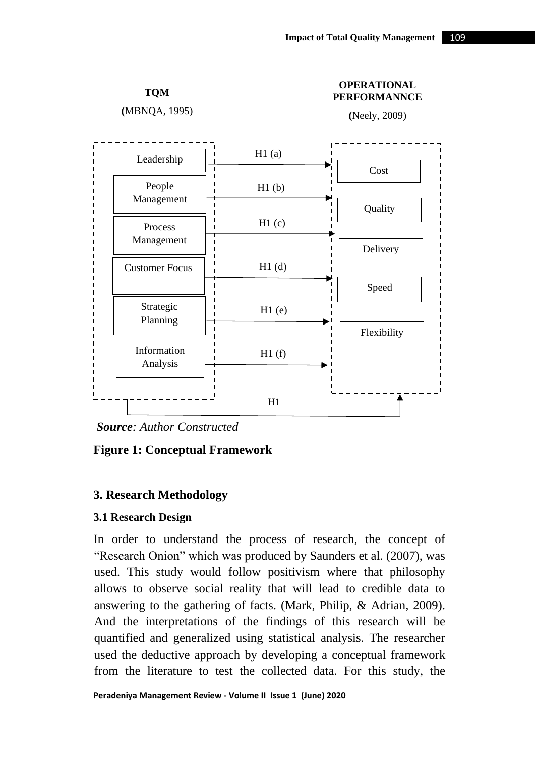**TQM**

**(**MBNQA, 1995)

#### **OPERATIONAL PERFORMANNCE**

**(**Neely, 2009)



*Source: Author Constructed*

### **Figure 1: Conceptual Framework**

### **3. Research Methodology**

#### **3.1 Research Design**

In order to understand the process of research, the concept of "Research Onion" which was produced by Saunders et al. (2007), was used. This study would follow positivism where that philosophy allows to observe social reality that will lead to credible data to answering to the gathering of facts. (Mark, Philip, & Adrian, 2009). And the interpretations of the findings of this research will be quantified and generalized using statistical analysis. The researcher used the deductive approach by developing a conceptual framework from the literature to test the collected data. For this study, the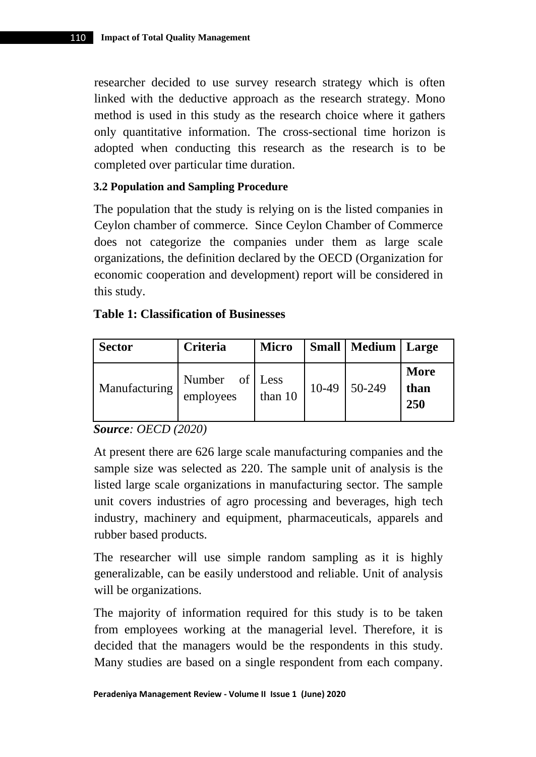researcher decided to use survey research strategy which is often linked with the deductive approach as the research strategy. Mono method is used in this study as the research choice where it gathers only quantitative information. The cross-sectional time horizon is adopted when conducting this research as the research is to be completed over particular time duration.

### **3.2 Population and Sampling Procedure**

The population that the study is relying on is the listed companies in Ceylon chamber of commerce. Since Ceylon Chamber of Commerce does not categorize the companies under them as large scale organizations, the definition declared by the OECD (Organization for economic cooperation and development) report will be considered in this study.

### **Table 1: Classification of Businesses**

| <b>Sector</b> | Criteria                    | <b>Micro</b> |       | <b>Small   Medium   Large</b> |                     |
|---------------|-----------------------------|--------------|-------|-------------------------------|---------------------|
| Manufacturing | Number of Less<br>employees | than 10      | 10-49 | 50-249                        | More<br>than<br>250 |

*Source: OECD (2020)*

At present there are 626 large scale manufacturing companies and the sample size was selected as 220. The sample unit of analysis is the listed large scale organizations in manufacturing sector. The sample unit covers industries of agro processing and beverages, high tech industry, machinery and equipment, pharmaceuticals, apparels and rubber based products.

The researcher will use simple random sampling as it is highly generalizable, can be easily understood and reliable. Unit of analysis will be organizations.

The majority of information required for this study is to be taken from employees working at the managerial level. Therefore, it is decided that the managers would be the respondents in this study. Many studies are based on a single respondent from each company.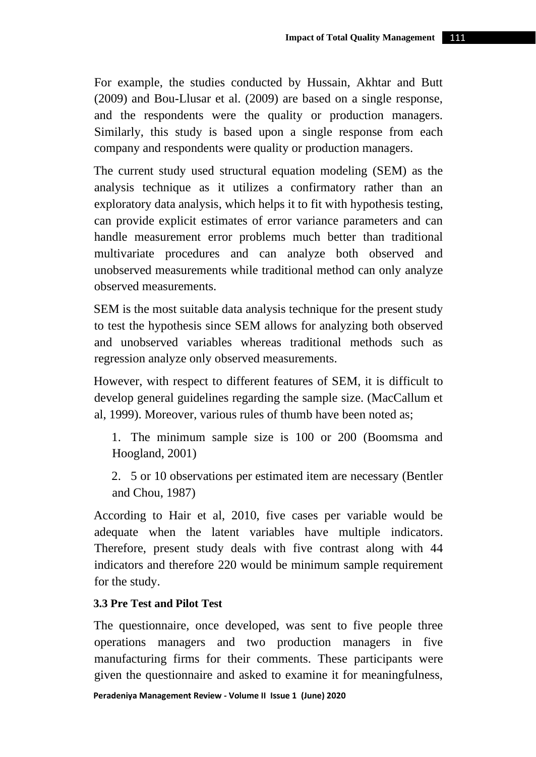For example, the studies conducted by Hussain, Akhtar and Butt (2009) and Bou-Llusar et al. (2009) are based on a single response, and the respondents were the quality or production managers. Similarly, this study is based upon a single response from each company and respondents were quality or production managers.

The current study used structural equation modeling (SEM) as the analysis technique as it utilizes a confirmatory rather than an exploratory data analysis, which helps it to fit with hypothesis testing, can provide explicit estimates of error variance parameters and can handle measurement error problems much better than traditional multivariate procedures and can analyze both observed and unobserved measurements while traditional method can only analyze observed measurements.

SEM is the most suitable data analysis technique for the present study to test the hypothesis since SEM allows for analyzing both observed and unobserved variables whereas traditional methods such as regression analyze only observed measurements.

However, with respect to different features of SEM, it is difficult to develop general guidelines regarding the sample size. (MacCallum et al, 1999). Moreover, various rules of thumb have been noted as;

1. The minimum sample size is 100 or 200 (Boomsma and Hoogland, 2001)

2. 5 or 10 observations per estimated item are necessary (Bentler and Chou, 1987)

According to Hair et al, 2010, five cases per variable would be adequate when the latent variables have multiple indicators. Therefore, present study deals with five contrast along with 44 indicators and therefore 220 would be minimum sample requirement for the study.

### **3.3 Pre Test and Pilot Test**

The questionnaire, once developed, was sent to five people three operations managers and two production managers in five manufacturing firms for their comments. These participants were given the questionnaire and asked to examine it for meaningfulness,

#### **Peradeniya Management Review - Volume II Issue 1 (June) 2020**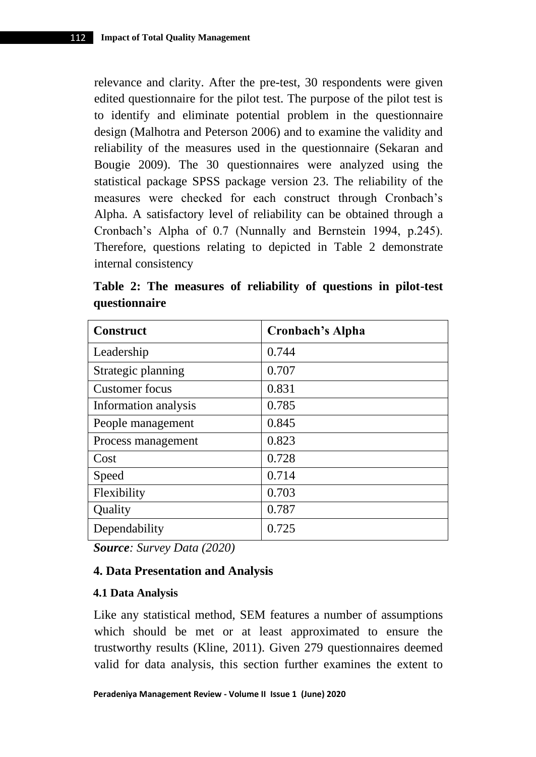relevance and clarity. After the pre-test, 30 respondents were given edited questionnaire for the pilot test. The purpose of the pilot test is to identify and eliminate potential problem in the questionnaire design (Malhotra and Peterson 2006) and to examine the validity and reliability of the measures used in the questionnaire (Sekaran and Bougie 2009). The 30 questionnaires were analyzed using the statistical package SPSS package version 23. The reliability of the measures were checked for each construct through Cronbach's Alpha. A satisfactory level of reliability can be obtained through a Cronbach's Alpha of 0.7 (Nunnally and Bernstein 1994, p.245). Therefore, questions relating to depicted in Table 2 demonstrate internal consistency

**Table 2: The measures of reliability of questions in pilot-test questionnaire** 

| <b>Construct</b>     | <b>Cronbach's Alpha</b> |
|----------------------|-------------------------|
| Leadership           | 0.744                   |
| Strategic planning   | 0.707                   |
| Customer focus       | 0.831                   |
| Information analysis | 0.785                   |
| People management    | 0.845                   |
| Process management   | 0.823                   |
| Cost                 | 0.728                   |
| Speed                | 0.714                   |
| Flexibility          | 0.703                   |
| Quality              | 0.787                   |
| Dependability        | 0.725                   |

*Source: Survey Data (2020)* 

# **4. Data Presentation and Analysis**

#### **4.1 Data Analysis**

Like any statistical method, SEM features a number of assumptions which should be met or at least approximated to ensure the trustworthy results (Kline, 2011). Given 279 questionnaires deemed valid for data analysis, this section further examines the extent to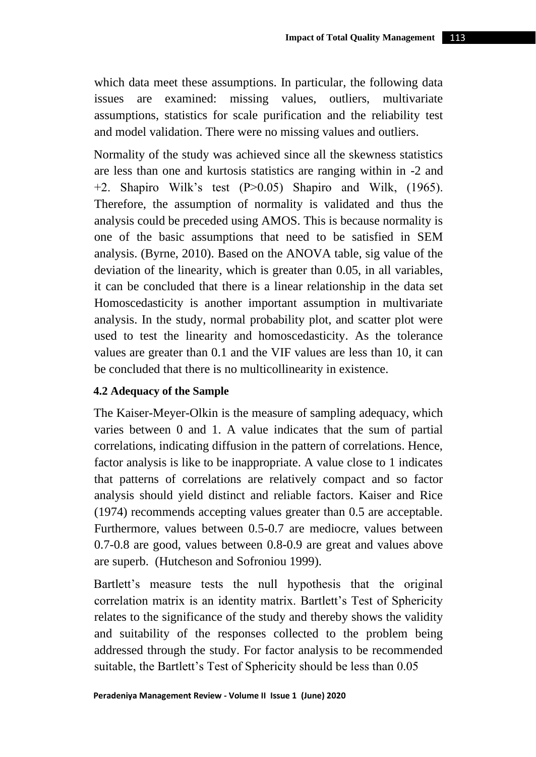which data meet these assumptions. In particular, the following data issues are examined: missing values, outliers, multivariate assumptions, statistics for scale purification and the reliability test and model validation. There were no missing values and outliers.

Normality of the study was achieved since all the skewness statistics are less than one and kurtosis statistics are ranging within in -2 and +2. Shapiro Wilk's test (P>0.05) Shapiro and Wilk, (1965). Therefore, the assumption of normality is validated and thus the analysis could be preceded using AMOS. This is because normality is one of the basic assumptions that need to be satisfied in SEM analysis. (Byrne, 2010). Based on the ANOVA table, sig value of the deviation of the linearity, which is greater than 0.05, in all variables, it can be concluded that there is a linear relationship in the data set Homoscedasticity is another important assumption in multivariate analysis. In the study, normal probability plot, and scatter plot were used to test the linearity and homoscedasticity. As the tolerance values are greater than 0.1 and the VIF values are less than 10, it can be concluded that there is no multicollinearity in existence.

### **4.2 Adequacy of the Sample**

The Kaiser-Meyer-Olkin is the measure of sampling adequacy, which varies between 0 and 1. A value indicates that the sum of partial correlations, indicating diffusion in the pattern of correlations. Hence, factor analysis is like to be inappropriate. A value close to 1 indicates that patterns of correlations are relatively compact and so factor analysis should yield distinct and reliable factors. Kaiser and Rice (1974) recommends accepting values greater than 0.5 are acceptable. Furthermore, values between 0.5-0.7 are mediocre, values between 0.7-0.8 are good, values between 0.8-0.9 are great and values above are superb. (Hutcheson and Sofroniou 1999).

Bartlett's measure tests the null hypothesis that the original correlation matrix is an identity matrix. Bartlett's Test of Sphericity relates to the significance of the study and thereby shows the validity and suitability of the responses collected to the problem being addressed through the study. For factor analysis to be recommended suitable, the Bartlett's Test of Sphericity should be less than 0.05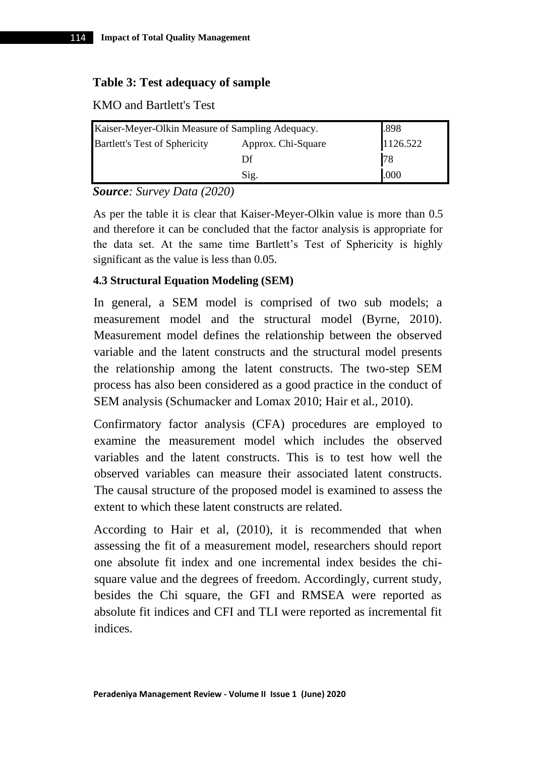### **Table 3: Test adequacy of sample**

KMO and Bartlett's Test

| Kaiser-Meyer-Olkin Measure of Sampling Adequacy.           |      | .898     |
|------------------------------------------------------------|------|----------|
| <b>Bartlett's Test of Sphericity</b><br>Approx. Chi-Square |      | 1126.522 |
|                                                            | Df   | 78       |
|                                                            | Sig. | .000     |

*Source: Survey Data (2020)*

As per the table it is clear that Kaiser-Meyer-Olkin value is more than 0.5 and therefore it can be concluded that the factor analysis is appropriate for the data set. At the same time Bartlett's Test of Sphericity is highly significant as the value is less than 0.05.

### **4.3 Structural Equation Modeling (SEM)**

In general, a SEM model is comprised of two sub models; a measurement model and the structural model (Byrne, 2010). Measurement model defines the relationship between the observed variable and the latent constructs and the structural model presents the relationship among the latent constructs. The two-step SEM process has also been considered as a good practice in the conduct of SEM analysis (Schumacker and Lomax 2010; Hair et al., 2010).

Confirmatory factor analysis (CFA) procedures are employed to examine the measurement model which includes the observed variables and the latent constructs. This is to test how well the observed variables can measure their associated latent constructs. The causal structure of the proposed model is examined to assess the extent to which these latent constructs are related.

According to Hair et al, (2010), it is recommended that when assessing the fit of a measurement model, researchers should report one absolute fit index and one incremental index besides the chisquare value and the degrees of freedom. Accordingly, current study, besides the Chi square, the GFI and RMSEA were reported as absolute fit indices and CFI and TLI were reported as incremental fit indices.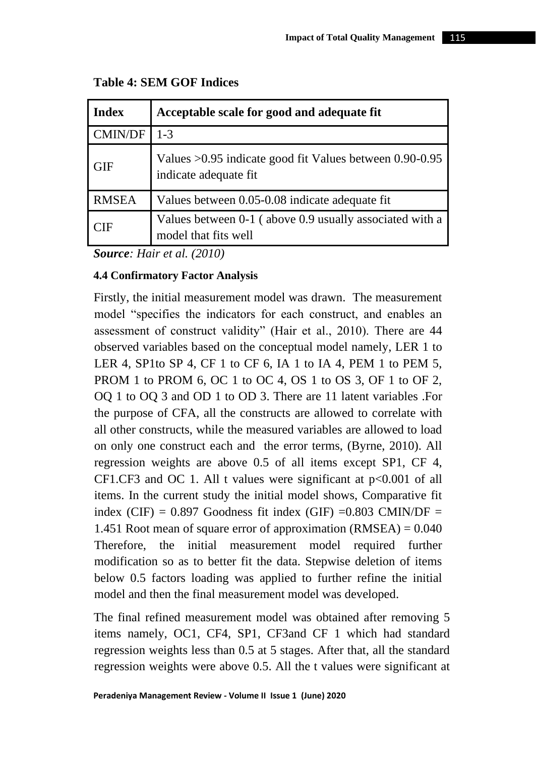| <b>Index</b>   | Acceptable scale for good and adequate fit                                         |
|----------------|------------------------------------------------------------------------------------|
| <b>CMIN/DF</b> | $1 - 3$                                                                            |
| <b>GIF</b>     | Values $>0.95$ indicate good fit Values between 0.90-0.95<br>indicate adequate fit |
| <b>RMSEA</b>   | Values between 0.05-0.08 indicate adequate fit                                     |
| CIF            | Values between 0-1 (above 0.9 usually associated with a<br>model that fits well    |

## **Table 4: SEM GOF Indices**

*Source: Hair et al. (2010)*

### **4.4 Confirmatory Factor Analysis**

Firstly, the initial measurement model was drawn. The measurement model "specifies the indicators for each construct, and enables an assessment of construct validity" (Hair et al., 2010). There are 44 observed variables based on the conceptual model namely, LER 1 to LER 4, SP1to SP 4, CF 1 to CF 6, IA 1 to IA 4, PEM 1 to PEM 5, PROM 1 to PROM 6, OC 1 to OC 4, OS 1 to OS 3, OF 1 to OF 2, OQ 1 to OQ 3 and OD 1 to OD 3. There are 11 latent variables .For the purpose of CFA, all the constructs are allowed to correlate with all other constructs, while the measured variables are allowed to load on only one construct each and the error terms, (Byrne, 2010). All regression weights are above 0.5 of all items except SP1, CF 4, CF1.CF3 and OC 1. All t values were significant at p<0.001 of all items. In the current study the initial model shows, Comparative fit index (CIF) =  $0.897$  Goodness fit index (GIF) = $0.803$  CMIN/DF = 1.451 Root mean of square error of approximation  $(RMSEA) = 0.040$ Therefore, the initial measurement model required further modification so as to better fit the data. Stepwise deletion of items below 0.5 factors loading was applied to further refine the initial model and then the final measurement model was developed.

The final refined measurement model was obtained after removing 5 items namely, OC1, CF4, SP1, CF3and CF 1 which had standard regression weights less than 0.5 at 5 stages. After that, all the standard regression weights were above 0.5. All the t values were significant at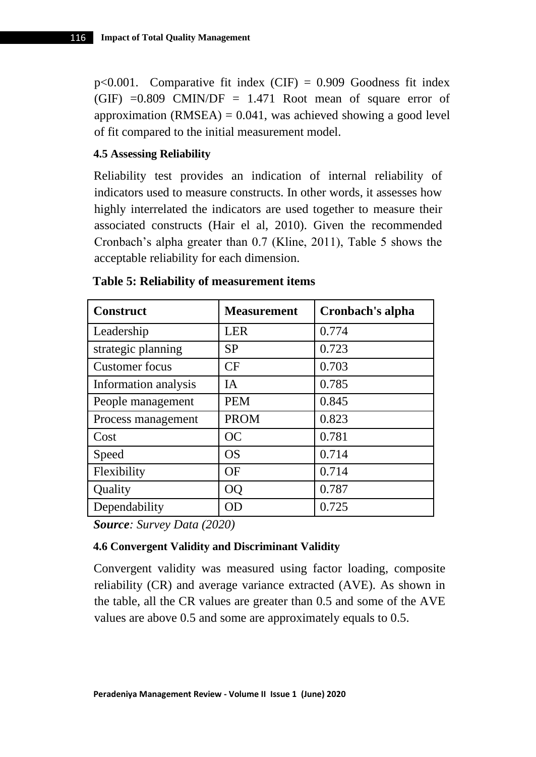p<0.001. Comparative fit index  $(CIF) = 0.909$  Goodness fit index (GIF)  $=0.809$  CMIN/DF = 1.471 Root mean of square error of approximation (RMSEA)  $= 0.041$ , was achieved showing a good level of fit compared to the initial measurement model.

### **4.5 Assessing Reliability**

Reliability test provides an indication of internal reliability of indicators used to measure constructs. In other words, it assesses how highly interrelated the indicators are used together to measure their associated constructs (Hair el al, 2010). Given the recommended Cronbach's alpha greater than 0.7 (Kline, 2011), Table 5 shows the acceptable reliability for each dimension.

| <b>Construct</b>     | <b>Measurement</b> | Cronbach's alpha |
|----------------------|--------------------|------------------|
| Leadership           | <b>LER</b>         | 0.774            |
| strategic planning   | <b>SP</b>          | 0.723            |
| Customer focus       | <b>CF</b>          | 0.703            |
| Information analysis | <b>IA</b>          | 0.785            |
| People management    | <b>PEM</b>         | 0.845            |
| Process management   | <b>PROM</b>        | 0.823            |
| Cost                 | OC                 | 0.781            |
| Speed                | OS                 | 0.714            |
| Flexibility          | OF                 | 0.714            |
| Quality              | <b>OQ</b>          | 0.787            |
| Dependability        | OD                 | 0.725            |

### **Table 5: Reliability of measurement items**

*Source: Survey Data (2020)*

### **4.6 Convergent Validity and Discriminant Validity**

Convergent validity was measured using factor loading, composite reliability (CR) and average variance extracted (AVE). As shown in the table, all the CR values are greater than 0.5 and some of the AVE values are above 0.5 and some are approximately equals to 0.5.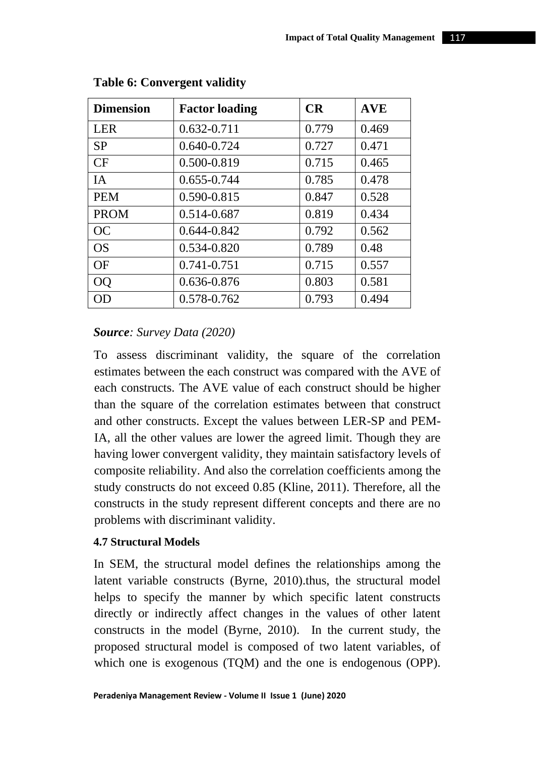| <b>Dimension</b> | <b>Factor loading</b> | CR    | <b>AVE</b> |
|------------------|-----------------------|-------|------------|
| <b>LER</b>       | $0.632 - 0.711$       | 0.779 | 0.469      |
| <b>SP</b>        | 0.640-0.724           | 0.727 | 0.471      |
| CF               | 0.500-0.819           | 0.715 | 0.465      |
| <b>IA</b>        | 0.655-0.744           | 0.785 | 0.478      |
| <b>PEM</b>       | 0.590-0.815           | 0.847 | 0.528      |
| <b>PROM</b>      | 0.514-0.687           | 0.819 | 0.434      |
| OC               | 0.644-0.842           | 0.792 | 0.562      |
| OS               | 0.534-0.820           | 0.789 | 0.48       |
| <b>OF</b>        | 0.741-0.751           | 0.715 | 0.557      |
| <b>OO</b>        | 0.636-0.876           | 0.803 | 0.581      |
| OD               | 0.578-0.762           | 0.793 | 0.494      |

### **Table 6: Convergent validity**

### *Source: Survey Data (2020)*

To assess discriminant validity, the square of the correlation estimates between the each construct was compared with the AVE of each constructs. The AVE value of each construct should be higher than the square of the correlation estimates between that construct and other constructs. Except the values between LER-SP and PEM-IA, all the other values are lower the agreed limit. Though they are having lower convergent validity, they maintain satisfactory levels of composite reliability. And also the correlation coefficients among the study constructs do not exceed 0.85 (Kline, 2011). Therefore, all the constructs in the study represent different concepts and there are no problems with discriminant validity.

#### **4.7 Structural Models**

In SEM, the structural model defines the relationships among the latent variable constructs (Byrne, 2010).thus, the structural model helps to specify the manner by which specific latent constructs directly or indirectly affect changes in the values of other latent constructs in the model (Byrne, 2010). In the current study, the proposed structural model is composed of two latent variables, of which one is exogenous (TQM) and the one is endogenous (OPP).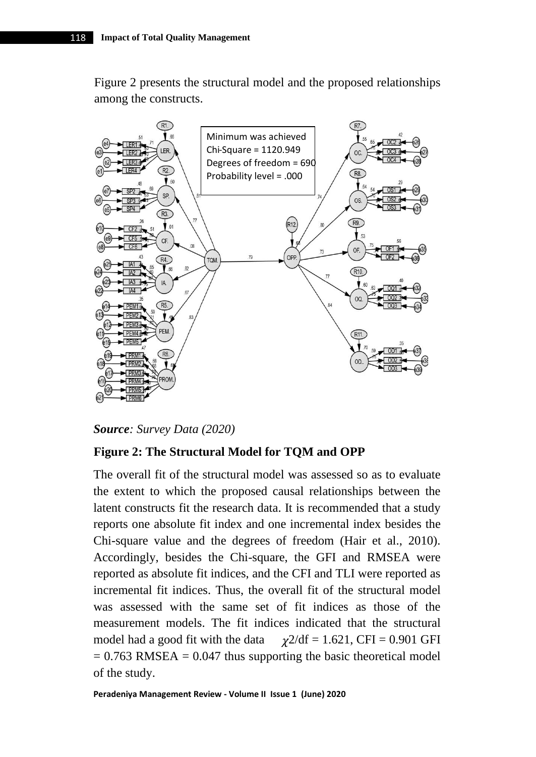Figure 2 presents the structural model and the proposed relationships among the constructs.



*Source: Survey Data (2020)*

### **Figure 2: The Structural Model for TQM and OPP**

The overall fit of the structural model was assessed so as to evaluate the extent to which the proposed causal relationships between the latent constructs fit the research data. It is recommended that a study reports one absolute fit index and one incremental index besides the Chi-square value and the degrees of freedom (Hair et al., 2010). Accordingly, besides the Chi-square, the GFI and RMSEA were reported as absolute fit indices, and the CFI and TLI were reported as incremental fit indices. Thus, the overall fit of the structural model was assessed with the same set of fit indices as those of the measurement models. The fit indices indicated that the structural model had a good fit with the data  $\gamma$ 2/df = 1.621, CFI = 0.901 GFI  $= 0.763$  RMSEA  $= 0.047$  thus supporting the basic theoretical model of the study.

**Peradeniya Management Review - Volume II Issue 1 (June) 2020**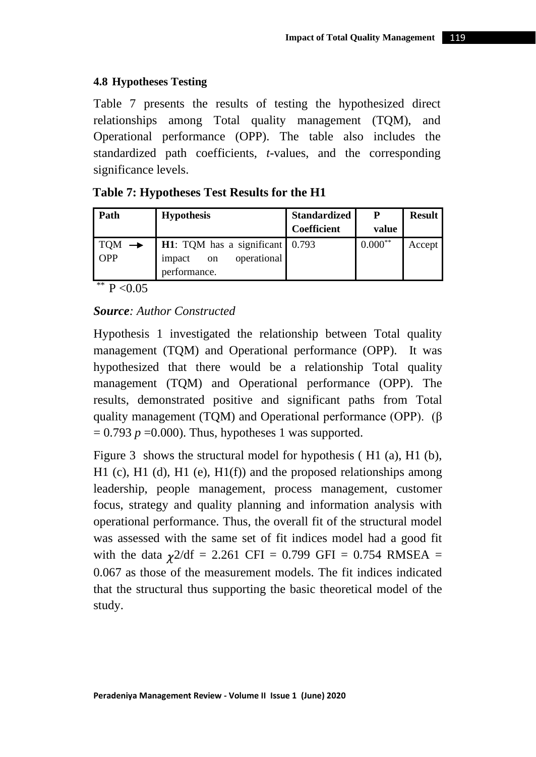### **4.8 Hypotheses Testing**

Table 7 presents the results of testing the hypothesized direct relationships among Total quality management (TQM), and Operational performance (OPP). The table also includes the standardized path coefficients, *t*-values, and the corresponding significance levels.

| Table 7: Hypotheses Test Results for the H1 |  |  |
|---------------------------------------------|--|--|
|---------------------------------------------|--|--|

| <b>Hypothesis</b>  | <b>Standardized</b> | P                                                      | <b>Result</b> |
|--------------------|---------------------|--------------------------------------------------------|---------------|
|                    | Coefficient         | value                                                  |               |
|                    |                     | $0.000**$                                              | Accept        |
| on<br>performance. |                     |                                                        |               |
|                    | impact              | <b>H1</b> : TQM has a significant 0.793<br>operational |               |

### \*\*  $P < 0.05$

### *Source: Author Constructed*

Hypothesis 1 investigated the relationship between Total quality management (TQM) and Operational performance (OPP). It was hypothesized that there would be a relationship Total quality management (TQM) and Operational performance (OPP). The results, demonstrated positive and significant paths from Total quality management (TQM) and Operational performance (OPP). (β  $= 0.793$   $p = 0.000$ . Thus, hypotheses 1 was supported.

Figure 3 shows the structural model for hypothesis ( H1 (a), H1 (b), H1 (c), H1 (d), H1 (e), H1(f)) and the proposed relationships among leadership, people management, process management, customer focus, strategy and quality planning and information analysis with operational performance. Thus, the overall fit of the structural model was assessed with the same set of fit indices model had a good fit with the data  $\gamma$ 2/df = 2.261 CFI = 0.799 GFI = 0.754 RMSEA = 0.067 as those of the measurement models. The fit indices indicated that the structural thus supporting the basic theoretical model of the study.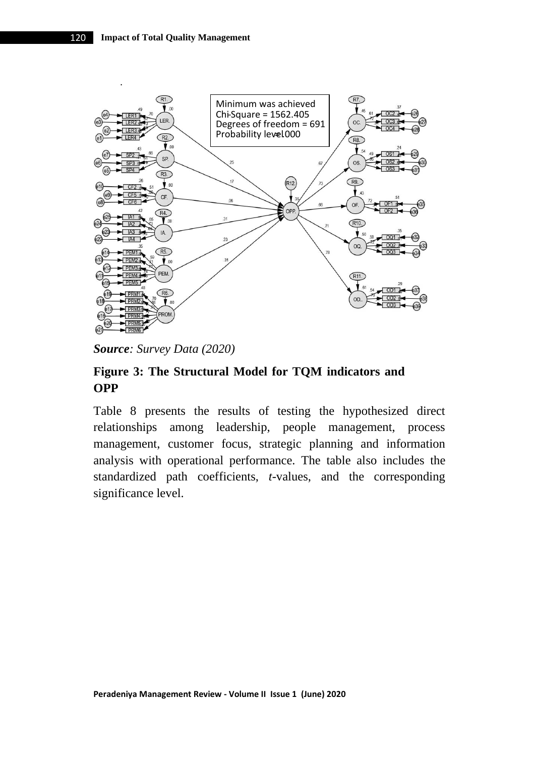

*Source: Survey Data (2020)*

# **Figure 3: The Structural Model for TQM indicators and OPP**

Table 8 presents the results of testing the hypothesized direct relationships among leadership, people management, process management, customer focus, strategic planning and information analysis with operational performance. The table also includes the standardized path coefficients, *t*-values, and the corresponding significance level.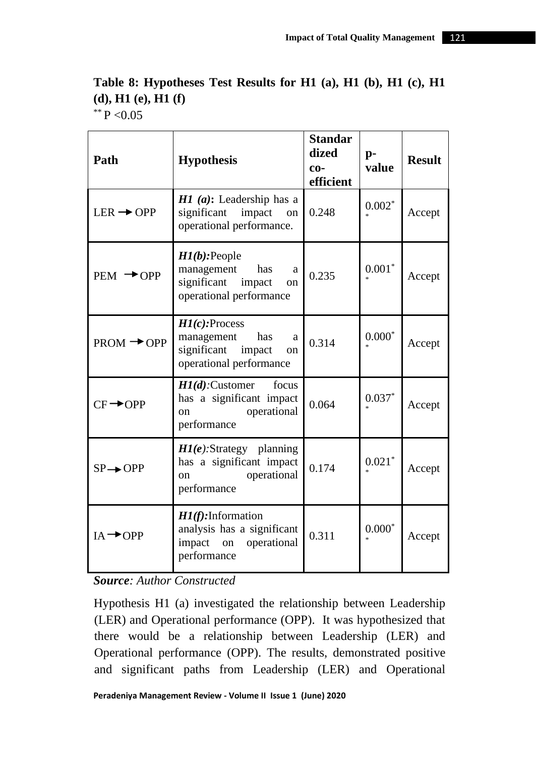| Path                   | <b>Hypothesis</b>                                                                                      | <b>Standar</b><br>dized<br>$co-$<br>efficient | $p-$<br>value  | <b>Result</b> |
|------------------------|--------------------------------------------------------------------------------------------------------|-----------------------------------------------|----------------|---------------|
| $LER \rightarrow OPP$  | $H1$ ( <i>a</i> ): Leadership has a<br>significant impact<br>on<br>operational performance.            | 0.248                                         | $0.002^\ast$   | Accept        |
| $PEM \rightarrow$ OPP  | $H1(b)$ : People<br>has<br>management<br>a<br>significant impact<br>on<br>operational performance      | 0.235                                         | $0.001^{\ast}$ | Accept        |
| $PROM \rightarrow$ OPP | $HI(c):$ Process<br>management<br>has<br>a<br>significant impact<br>on<br>operational performance      | 0.314                                         | $0.000^\ast$   | Accept        |
| $CF \rightarrow$ OPP   | $H1(d)$ : Customer<br>focus<br>has a significant impact<br>operational<br>on<br>performance            | 0.064                                         | $0.037*$       | Accept        |
| $SP \rightarrow$ OPP   | $HI(e)$ : Strategy planning<br>has a significant impact<br>operational<br><sub>on</sub><br>performance | 0.174                                         | $0.021*$       | Accept        |
| $IA \rightarrow$ OPP   | $HI(f):$ Information<br>analysis has a significant<br>impact on operational<br>performance             | 0.311                                         | $0.000^\ast$   | Accept        |

# **Table 8: Hypotheses Test Results for H1 (a), H1 (b), H1 (c), H1 (d), H1 (e), H1 (f)** \*\* P < 0.05

*Source: Author Constructed*

Hypothesis H1 (a) investigated the relationship between Leadership (LER) and Operational performance (OPP). It was hypothesized that there would be a relationship between Leadership (LER) and Operational performance (OPP). The results, demonstrated positive and significant paths from Leadership (LER) and Operational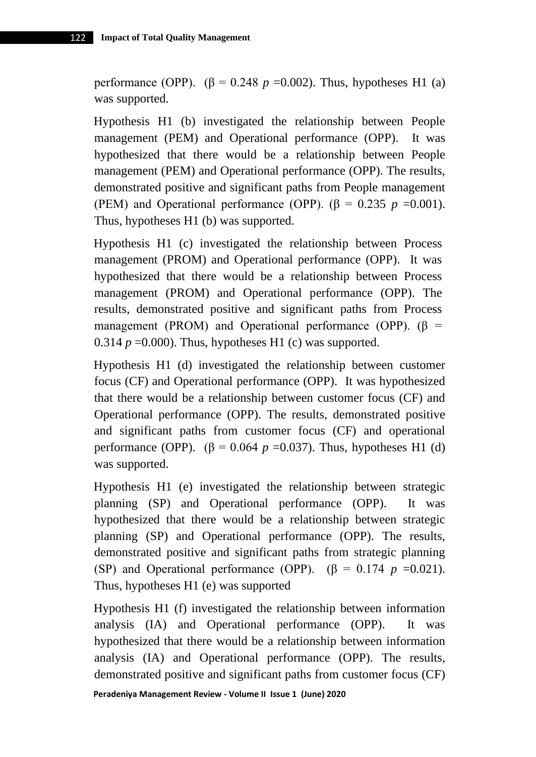performance (OPP).  $(\beta = 0.248 \ p = 0.002)$ . Thus, hypotheses H1 (a) was supported.

Hypothesis H1 (b) investigated the relationship between People management (PEM) and Operational performance (OPP). It was hypothesized that there would be a relationship between People management (PEM) and Operational performance (OPP). The results, demonstrated positive and significant paths from People management (PEM) and Operational performance (OPP).  $(\beta = 0.235 \, p = 0.001)$ . Thus, hypotheses H1 (b) was supported.

Hypothesis H1 (c) investigated the relationship between Process management (PROM) and Operational performance (OPP). It was hypothesized that there would be a relationship between Process management (PROM) and Operational performance (OPP). The results, demonstrated positive and significant paths from Process management (PROM) and Operational performance (OPP).  $(\beta =$ 0.314  $p = 0.000$ ). Thus, hypotheses H1 (c) was supported.

Hypothesis H1 (d) investigated the relationship between customer focus (CF) and Operational performance (OPP). It was hypothesized that there would be a relationship between customer focus (CF) and Operational performance (OPP). The results, demonstrated positive and significant paths from customer focus (CF) and operational performance (OPP).  $(\beta = 0.064 \ p = 0.037)$ . Thus, hypotheses H1 (d) was supported.

Hypothesis H1 (e) investigated the relationship between strategic planning (SP) and Operational performance (OPP). It was hypothesized that there would be a relationship between strategic planning (SP) and Operational performance (OPP). The results, demonstrated positive and significant paths from strategic planning (SP) and Operational performance (OPP).  $(\beta = 0.174 \text{ p } = 0.021)$ . Thus, hypotheses H1 (e) was supported

Hypothesis H1 (f) investigated the relationship between information analysis (IA) and Operational performance (OPP). It was hypothesized that there would be a relationship between information analysis (IA) and Operational performance (OPP). The results, demonstrated positive and significant paths from customer focus (CF)

**Peradeniya Management Review - Volume II Issue 1 (June) 2020**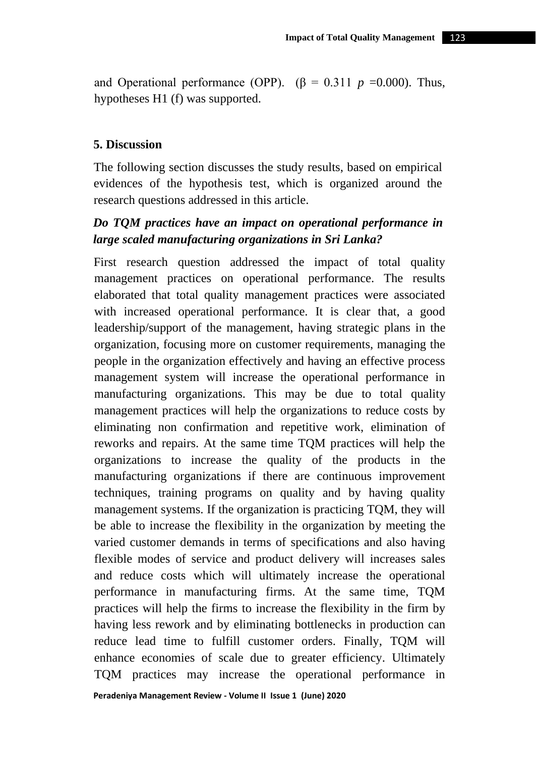and Operational performance (OPP).  $(\beta = 0.311 \ p = 0.000)$ . Thus, hypotheses H1 (f) was supported.

### **5. Discussion**

The following section discusses the study results, based on empirical evidences of the hypothesis test, which is organized around the research questions addressed in this article.

# *Do TQM practices have an impact on operational performance in large scaled manufacturing organizations in Sri Lanka?*

First research question addressed the impact of total quality management practices on operational performance. The results elaborated that total quality management practices were associated with increased operational performance. It is clear that, a good leadership/support of the management, having strategic plans in the organization, focusing more on customer requirements, managing the people in the organization effectively and having an effective process management system will increase the operational performance in manufacturing organizations. This may be due to total quality management practices will help the organizations to reduce costs by eliminating non confirmation and repetitive work, elimination of reworks and repairs. At the same time TQM practices will help the organizations to increase the quality of the products in the manufacturing organizations if there are continuous improvement techniques, training programs on quality and by having quality management systems. If the organization is practicing TQM, they will be able to increase the flexibility in the organization by meeting the varied customer demands in terms of specifications and also having flexible modes of service and product delivery will increases sales and reduce costs which will ultimately increase the operational performance in manufacturing firms. At the same time, TQM practices will help the firms to increase the flexibility in the firm by having less rework and by eliminating bottlenecks in production can reduce lead time to fulfill customer orders. Finally, TQM will enhance economies of scale due to greater efficiency. Ultimately TQM practices may increase the operational performance in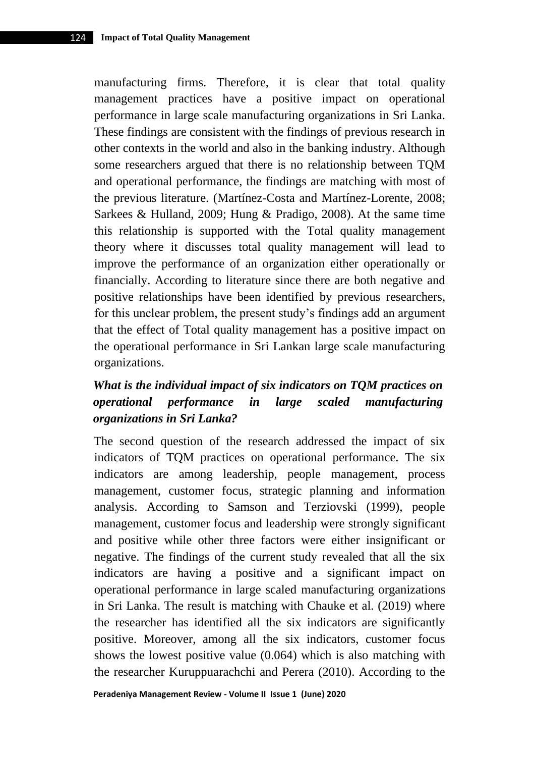manufacturing firms. Therefore, it is clear that total quality management practices have a positive impact on operational performance in large scale manufacturing organizations in Sri Lanka. These findings are consistent with the findings of previous research in other contexts in the world and also in the banking industry. Although some researchers argued that there is no relationship between TQM and operational performance, the findings are matching with most of the previous literature. (Martínez-Costa and Martínez-Lorente, 2008; Sarkees & Hulland, 2009; Hung & Pradigo, 2008). At the same time this relationship is supported with the Total quality management theory where it discusses total quality management will lead to improve the performance of an organization either operationally or financially. According to literature since there are both negative and positive relationships have been identified by previous researchers, for this unclear problem, the present study's findings add an argument that the effect of Total quality management has a positive impact on the operational performance in Sri Lankan large scale manufacturing organizations.

# *What is the individual impact of six indicators on TQM practices on operational performance in large scaled manufacturing organizations in Sri Lanka?*

The second question of the research addressed the impact of six indicators of TQM practices on operational performance. The six indicators are among leadership, people management, process management, customer focus, strategic planning and information analysis. According to Samson and Terziovski (1999), people management, customer focus and leadership were strongly significant and positive while other three factors were either insignificant or negative. The findings of the current study revealed that all the six indicators are having a positive and a significant impact on operational performance in large scaled manufacturing organizations in Sri Lanka. The result is matching with Chauke et al. (2019) where the researcher has identified all the six indicators are significantly positive. Moreover, among all the six indicators, customer focus shows the lowest positive value (0.064) which is also matching with the researcher Kuruppuarachchi and Perera (2010). According to the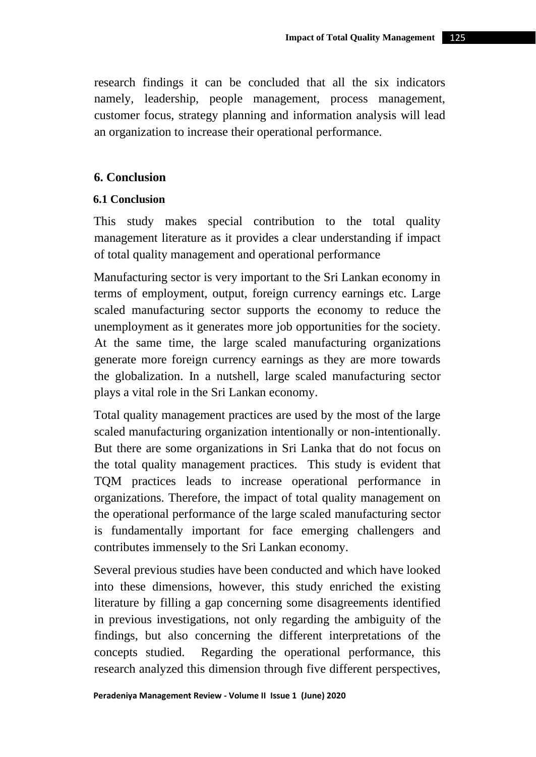research findings it can be concluded that all the six indicators namely, leadership, people management, process management, customer focus, strategy planning and information analysis will lead an organization to increase their operational performance.

## **6. Conclusion**

### **6.1 Conclusion**

This study makes special contribution to the total quality management literature as it provides a clear understanding if impact of total quality management and operational performance

Manufacturing sector is very important to the Sri Lankan economy in terms of employment, output, foreign currency earnings etc. Large scaled manufacturing sector supports the economy to reduce the unemployment as it generates more job opportunities for the society. At the same time, the large scaled manufacturing organizations generate more foreign currency earnings as they are more towards the globalization. In a nutshell, large scaled manufacturing sector plays a vital role in the Sri Lankan economy.

Total quality management practices are used by the most of the large scaled manufacturing organization intentionally or non-intentionally. But there are some organizations in Sri Lanka that do not focus on the total quality management practices. This study is evident that TQM practices leads to increase operational performance in organizations. Therefore, the impact of total quality management on the operational performance of the large scaled manufacturing sector is fundamentally important for face emerging challengers and contributes immensely to the Sri Lankan economy.

Several previous studies have been conducted and which have looked into these dimensions, however, this study enriched the existing literature by filling a gap concerning some disagreements identified in previous investigations, not only regarding the ambiguity of the findings, but also concerning the different interpretations of the concepts studied. Regarding the operational performance, this research analyzed this dimension through five different perspectives,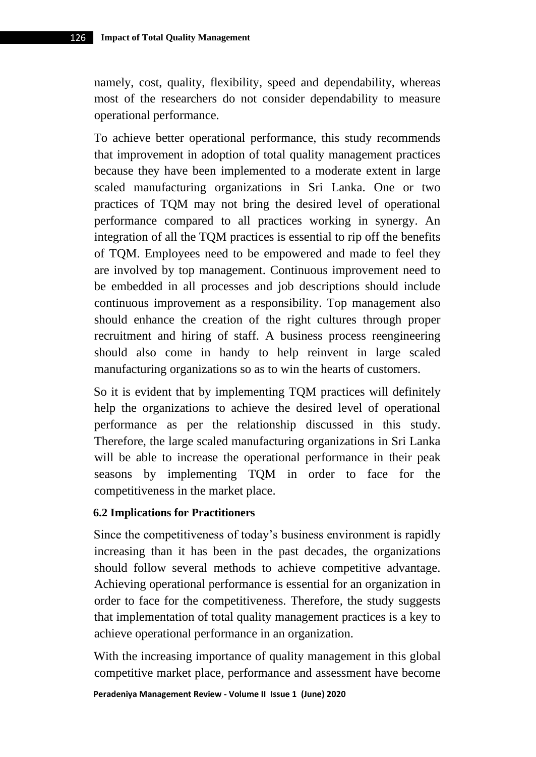namely, cost, quality, flexibility, speed and dependability, whereas most of the researchers do not consider dependability to measure operational performance.

To achieve better operational performance, this study recommends that improvement in adoption of total quality management practices because they have been implemented to a moderate extent in large scaled manufacturing organizations in Sri Lanka. One or two practices of TQM may not bring the desired level of operational performance compared to all practices working in synergy. An integration of all the TQM practices is essential to rip off the benefits of TQM. Employees need to be empowered and made to feel they are involved by top management. Continuous improvement need to be embedded in all processes and job descriptions should include continuous improvement as a responsibility. Top management also should enhance the creation of the right cultures through proper recruitment and hiring of staff. A business process reengineering should also come in handy to help reinvent in large scaled manufacturing organizations so as to win the hearts of customers.

So it is evident that by implementing TQM practices will definitely help the organizations to achieve the desired level of operational performance as per the relationship discussed in this study. Therefore, the large scaled manufacturing organizations in Sri Lanka will be able to increase the operational performance in their peak seasons by implementing TQM in order to face for the competitiveness in the market place.

#### **6.2 Implications for Practitioners**

Since the competitiveness of today's business environment is rapidly increasing than it has been in the past decades, the organizations should follow several methods to achieve competitive advantage. Achieving operational performance is essential for an organization in order to face for the competitiveness. Therefore, the study suggests that implementation of total quality management practices is a key to achieve operational performance in an organization.

With the increasing importance of quality management in this global competitive market place, performance and assessment have become

**Peradeniya Management Review - Volume II Issue 1 (June) 2020**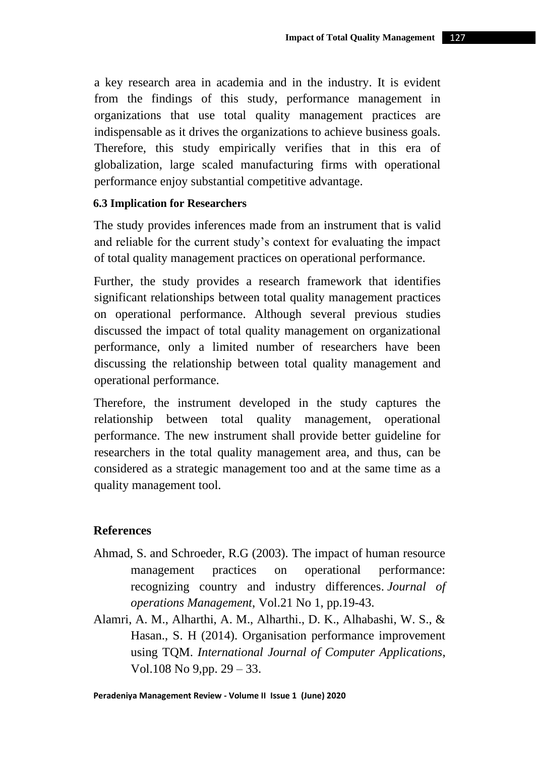a key research area in academia and in the industry. It is evident from the findings of this study, performance management in organizations that use total quality management practices are indispensable as it drives the organizations to achieve business goals. Therefore, this study empirically verifies that in this era of globalization, large scaled manufacturing firms with operational performance enjoy substantial competitive advantage.

### **6.3 Implication for Researchers**

The study provides inferences made from an instrument that is valid and reliable for the current study's context for evaluating the impact of total quality management practices on operational performance.

Further, the study provides a research framework that identifies significant relationships between total quality management practices on operational performance. Although several previous studies discussed the impact of total quality management on organizational performance, only a limited number of researchers have been discussing the relationship between total quality management and operational performance.

Therefore, the instrument developed in the study captures the relationship between total quality management, operational performance. The new instrument shall provide better guideline for researchers in the total quality management area, and thus, can be considered as a strategic management too and at the same time as a quality management tool.

### **References**

- Ahmad, S. and Schroeder, R.G (2003). The impact of human resource management practices on operational performance: recognizing country and industry differences. *Journal of operations Management*, Vol.21 No 1, pp.19-43.
- Alamri, A. M., Alharthi, A. M., Alharthi., D. K., Alhabashi, W. S., & Hasan., S. H (2014). Organisation performance improvement using TQM. *International Journal of Computer Applications*, Vol.108 No 9,pp. 29 – 33.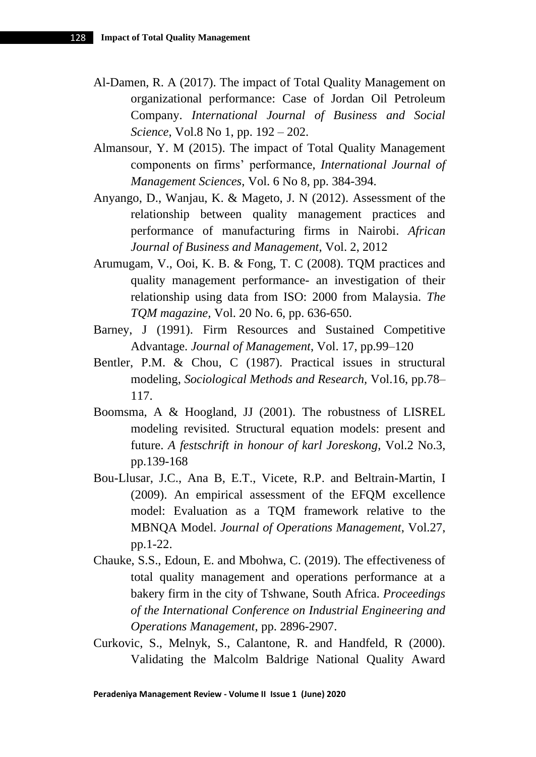- Al-Damen, R. A (2017). The impact of Total Quality Management on organizational performance: Case of Jordan Oil Petroleum Company. *International Journal of Business and Social Science*, Vol.8 No 1, pp. 192 – 202.
- Almansour, Y. M (2015). The impact of Total Quality Management components on firms' performance, *International Journal of Management Sciences*, Vol. 6 No 8, pp. 384-394.
- Anyango, D., Wanjau, K. & Mageto, J. N (2012). Assessment of the relationship between quality management practices and performance of manufacturing firms in Nairobi. *African Journal of Business and Management*, Vol. 2, 2012
- Arumugam, V., Ooi, K. B. & Fong, T. C (2008). TQM practices and quality management performance- an investigation of their relationship using data from ISO: 2000 from Malaysia. *The TQM magazine,* Vol. 20 No. 6, pp. 636-650.
- Barney, J (1991). Firm Resources and Sustained Competitive Advantage. *Journal of Management*, Vol. 17, pp.99–120
- Bentler, P.M. & Chou, C (1987). Practical issues in structural modeling, *Sociological Methods and Research,* Vol.16, pp.78– 117.
- Boomsma, A & Hoogland, JJ (2001). The robustness of LISREL modeling revisited. Structural equation models: present and future. *A festschrift in honour of karl Joreskong*, Vol.2 No.3, pp.139-168
- Bou-Llusar, J.C., Ana B, E.T., Vicete, R.P. and Beltrain-Martin, I (2009). An empirical assessment of the EFQM excellence model: Evaluation as a TQM framework relative to the MBNQA Model. *Journal of Operations Management*, Vol.27, pp.1-22.
- Chauke, S.S., Edoun, E. and Mbohwa, C. (2019). The effectiveness of total quality management and operations performance at a bakery firm in the city of Tshwane, South Africa. *Proceedings of the International Conference on Industrial Engineering and Operations Management*, pp. 2896-2907.
- Curkovic, S., Melnyk, S., Calantone, R. and Handfeld, R (2000). Validating the Malcolm Baldrige National Quality Award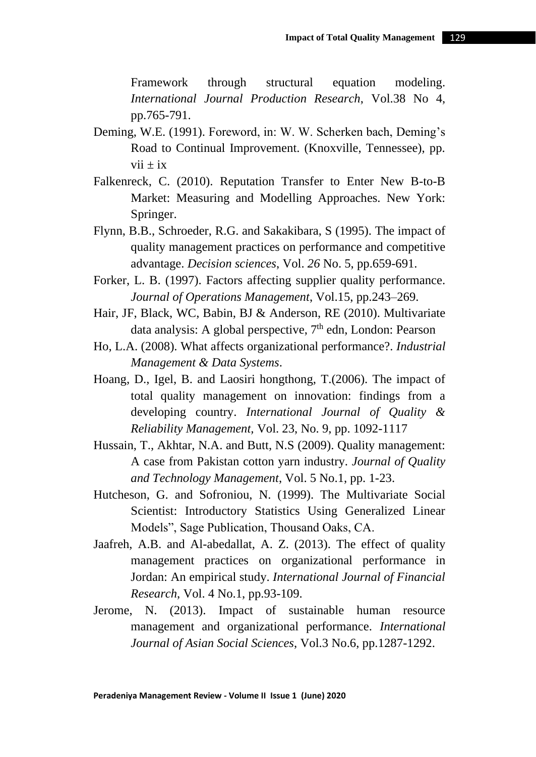Framework through structural equation modeling. *International Journal Production Research*, Vol.38 No 4, pp.765-791.

- Deming, W.E. (1991). Foreword, in: W. W. Scherken bach, Deming's Road to Continual Improvement. (Knoxville, Tennessee), pp.  $vii \pm ix$
- Falkenreck, C. (2010). Reputation Transfer to Enter New B-to-B Market: Measuring and Modelling Approaches. New York: Springer.
- Flynn, B.B., Schroeder, R.G. and Sakakibara, S (1995). The impact of quality management practices on performance and competitive advantage. *Decision sciences*, Vol. *26* No. 5, pp.659-691.
- Forker, L. B. (1997). Factors affecting supplier quality performance. *Journal of Operations Management*, Vol.15, pp.243–269.
- Hair, JF, Black, WC, Babin, BJ & Anderson, RE (2010). Multivariate data analysis: A global perspective,  $7<sup>th</sup>$  edn, London: Pearson
- Ho, L.A. (2008). What affects organizational performance?. *Industrial Management & Data Systems*.
- Hoang, D., Igel, B. and Laosiri hongthong, T.(2006). The impact of total quality management on innovation: findings from a developing country. *International Journal of Quality & Reliability Management,* Vol. 23, No. 9, pp. 1092-1117
- Hussain, T., Akhtar, N.A. and Butt, N.S (2009). Quality management: A case from Pakistan cotton yarn industry. *Journal of Quality and Technology Management*, Vol. 5 No.1, pp. 1-23.
- Hutcheson, G. and Sofroniou, N. (1999). The Multivariate Social Scientist: Introductory Statistics Using Generalized Linear Models", Sage Publication, Thousand Oaks, CA.
- Jaafreh, A.B. and Al-abedallat, A. Z. (2013). The effect of quality management practices on organizational performance in Jordan: An empirical study. *International Journal of Financial Research*, Vol. 4 No.1, pp.93-109.
- Jerome, N. (2013). Impact of sustainable human resource management and organizational performance. *International Journal of Asian Social Sciences*, Vol.3 No.6, pp.1287-1292.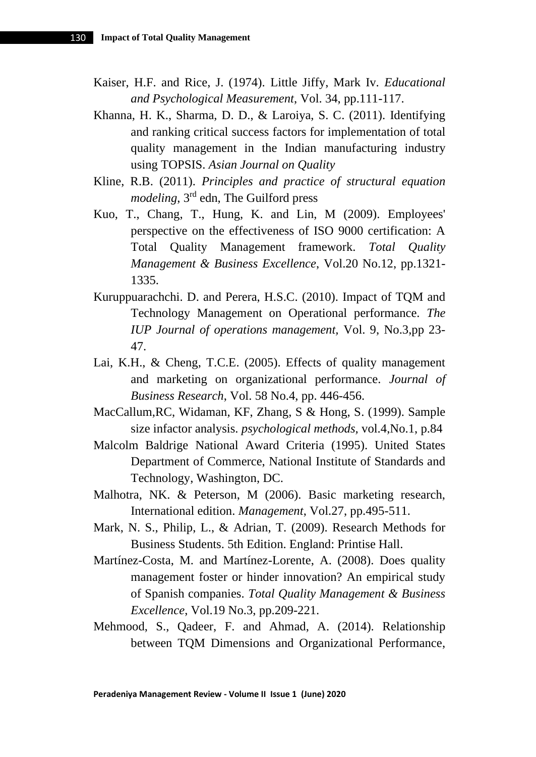- Kaiser, H.F. and Rice, J. (1974). Little Jiffy, Mark Iv. *Educational and Psychological Measurement*, Vol. 34, pp.111-117.
- Khanna, H. K., Sharma, D. D., & Laroiya, S. C. (2011). Identifying and ranking critical success factors for implementation of total quality management in the Indian manufacturing industry using TOPSIS. *Asian Journal on Quality*
- Kline, R.B. (2011). *Principles and practice of structural equation modeling*, 3rd edn, The Guilford press
- Kuo, T., Chang, T., Hung, K. and Lin, M (2009). Employees' perspective on the effectiveness of ISO 9000 certification: A Total Quality Management framework. *Total Quality Management & Business Excellence*, Vol.20 No.12, pp.1321- 1335.
- Kuruppuarachchi. D. and Perera, H.S.C. (2010). Impact of TQM and Technology Management on Operational performance. *The IUP Journal of operations management,* Vol. 9, No.3,pp 23- 47.
- Lai, K.H., & Cheng, T.C.E. (2005). Effects of quality management and marketing on organizational performance. *Journal of Business Research*, Vol. 58 No.4, pp. 446-456.
- MacCallum,RC, Widaman, KF, Zhang, S & Hong, S. (1999). Sample size infactor analysis. *psychological methods,* vol.4,No.1, p.84
- Malcolm Baldrige National Award Criteria (1995). United States Department of Commerce, National Institute of Standards and Technology, Washington, DC.
- Malhotra, NK. & Peterson, M (2006). Basic marketing research, International edition. *Management*, Vol.27, pp.495-511.
- Mark, N. S., Philip, L., & Adrian, T. (2009). Research Methods for Business Students. 5th Edition. England: Printise Hall.
- Martínez-Costa, M. and Martínez-Lorente, A. (2008). Does quality management foster or hinder innovation? An empirical study of Spanish companies. *Total Quality Management & Business Excellence*, Vol.19 No.3, pp.209-221.
- Mehmood, S., Qadeer, F. and Ahmad, A. (2014). Relationship between TQM Dimensions and Organizational Performance,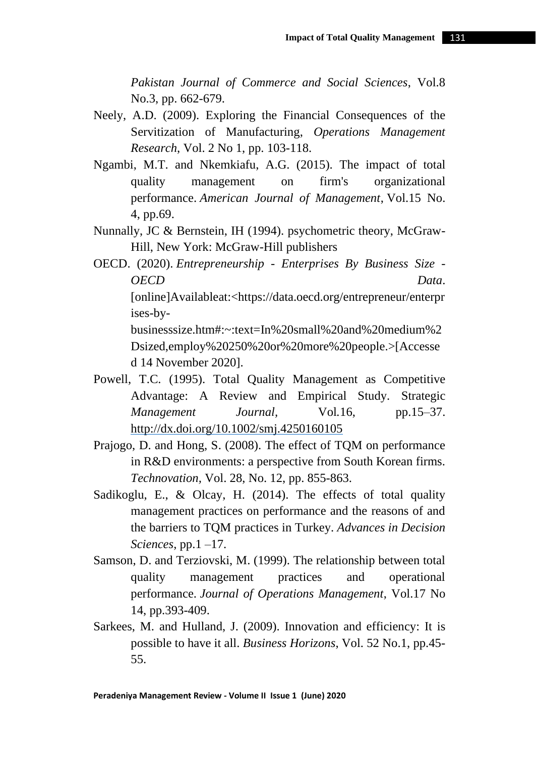*Pakistan Journal of Commerce and Social Sciences*, Vol.8 No.3, pp. 662-679.

- Neely, A.D. (2009). Exploring the Financial Consequences of the Servitization of Manufacturing, *Operations Management Research*, Vol. 2 No 1, pp. 103-118.
- Ngambi, M.T. and Nkemkiafu, A.G. (2015). The impact of total quality management on firm's organizational performance. *American Journal of Management*, Vol.15 No. 4, pp.69.
- Nunnally, JC & Bernstein, IH (1994). psychometric theory, McGraw-Hill, New York: McGraw-Hill publishers
- OECD. (2020). *Entrepreneurship - Enterprises By Business Size - OECD Data*.

[online]Availableat:<https://data.oecd.org/entrepreneur/enterpr ises-by-

businesssize.htm#:~:text=In%20small%20and%20medium%2 Dsized,employ%20250%20or%20more%20people.>[Accesse d 14 November 2020].

Powell, T.C. (1995). Total Quality Management as Competitive Advantage: A Review and Empirical Study. Strategic *Management Journal,* Vol*.*16, pp.15–37. <http://dx.doi.org/10.1002/smj.4250160105>

Prajogo, D. and Hong, S. (2008). The effect of TQM on performance in R&D environments: a perspective from South Korean firms. *Technovation,* Vol. 28, No. 12, pp. 855-863.

- Sadikoglu, E., & Olcay, H. (2014). The effects of total quality management practices on performance and the reasons of and the barriers to TQM practices in Turkey. *Advances in Decision Sciences*, pp.1 –17.
- Samson, D. and Terziovski, M. (1999). The relationship between total quality management practices and operational performance. *Journal of Operations Management*, Vol.17 No 14, pp.393-409.
- Sarkees, M. and Hulland, J. (2009). Innovation and efficiency: It is possible to have it all. *Business Horizons*, Vol. 52 No.1, pp.45- 55.